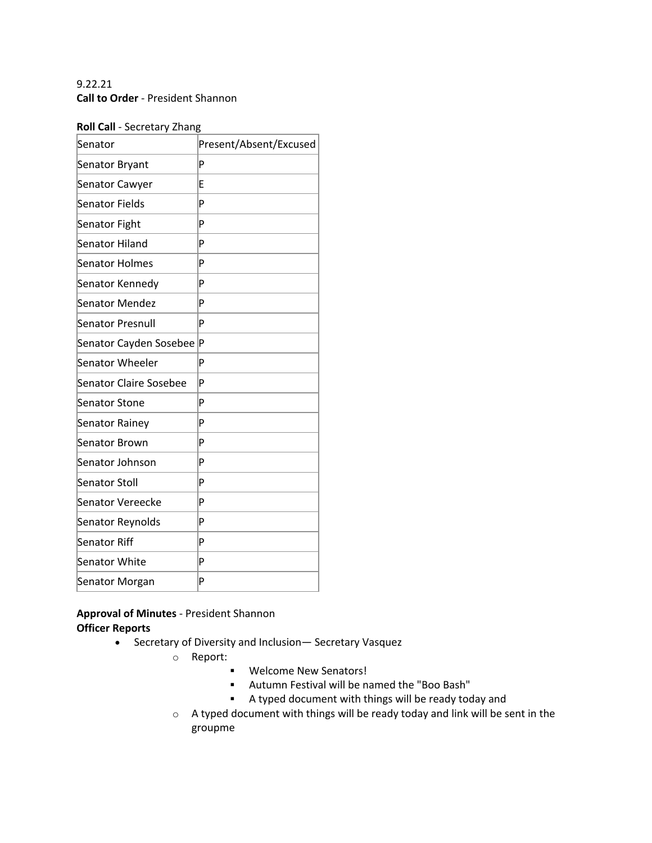# 9.22.21 **Call to Order** - President Shannon

#### **Roll Call** - Secretary Zhang

| Senator                       | Present/Absent/Excused |
|-------------------------------|------------------------|
| Senator Bryant                | P                      |
| Senator Cawyer                | E                      |
| Senator Fields                | P                      |
| Senator Fight                 | P                      |
| Senator Hiland                | P                      |
| Senator Holmes                | P                      |
| Senator Kennedy               | P                      |
| Senator Mendez                | P                      |
| Senator Presnull              | P                      |
| Senator Cayden Sosebee        | Þ                      |
| Senator Wheeler               | P                      |
| <b>Senator Claire Sosebee</b> | P                      |
| <b>Senator Stone</b>          | P                      |
| Senator Rainey                | P                      |
| Senator Brown                 | P                      |
| Senator Johnson               | P                      |
| Senator Stoll                 | P                      |
| Senator Vereecke              | P                      |
| Senator Reynolds              | P                      |
| Senator Riff                  | P                      |
| Senator White                 | P                      |
| Senator Morgan                | P                      |

# **Approval of Minutes** - President Shannon **Officer Reports**

- Secretary of Diversity and Inclusion— Secretary Vasquez
	- o Report:
		- **•** Welcome New Senators!
		- § Autumn Festival will be named the "Boo Bash"
		- § A typed document with things will be ready today and
	- o A typed document with things will be ready today and link will be sent in the groupme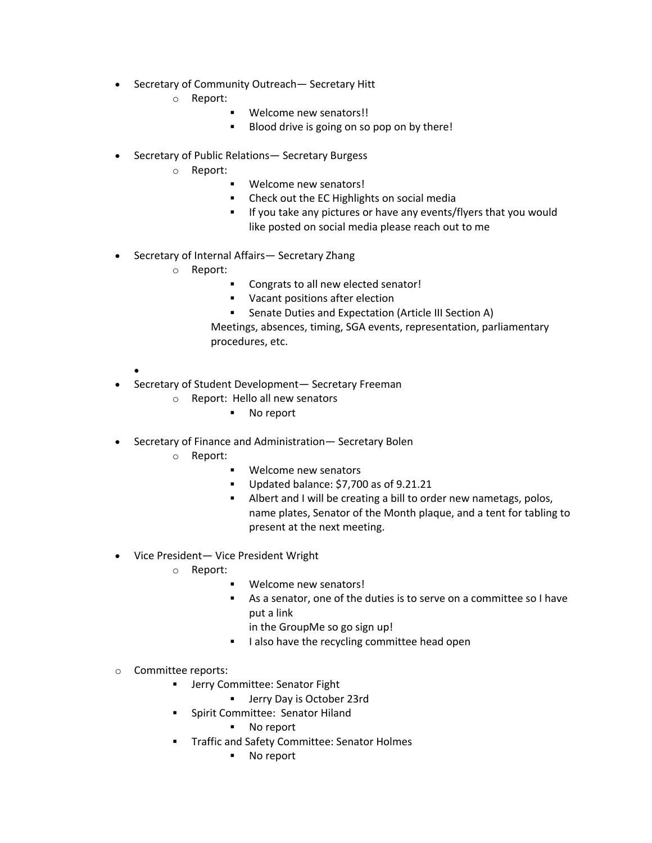- Secretary of Community Outreach— Secretary Hitt
	- o Report:
		- Welcome new senators!!
		- Blood drive is going on so pop on by there!
- Secretary of Public Relations— Secretary Burgess
	- o Report:
		- § Welcome new senators!
		- Check out the EC Highlights on social media
		- **EXTED 15 If you take any pictures or have any events/flyers that you would** like posted on social media please reach out to me
- Secretary of Internal Affairs— Secretary Zhang
	- o Report:
		- § Congrats to all new elected senator!
		- Vacant positions after election
		- Senate Duties and Expectation (Article III Section A)

Meetings, absences, timing, SGA events, representation, parliamentary procedures, etc.

- Secretary of Student Development— Secretary Freeman
	- o Report: Hello all new senators
		- No report
- Secretary of Finance and Administration— Secretary Bolen
	- o Report:

•

- Welcome new senators
- § Updated balance: \$7,700 as of 9.21.21
- Albert and I will be creating a bill to order new nametags, polos, name plates, Senator of the Month plaque, and a tent for tabling to present at the next meeting.
- Vice President— Vice President Wright
	- o Report:
		- Welcome new senators!
		- § As a senator, one of the duties is to serve on a committee so I have put a link
			- in the GroupMe so go sign up!
		- I also have the recycling committee head open
- o Committee reports:
	- **■** Jerry Committee: Senator Fight
		- Jerry Day is October 23rd
	- § Spirit Committee: Senator Hiland
		- No report
	- Traffic and Safety Committee: Senator Holmes
		- No report